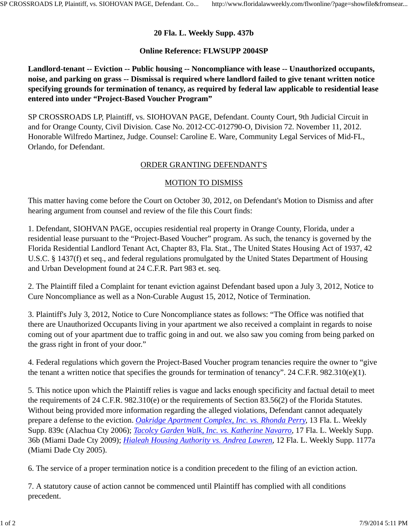## **20 Fla. L. Weekly Supp. 437b**

## **Online Reference: FLWSUPP 2004SP**

**Landlord-tenant -- Eviction -- Public housing -- Noncompliance with lease -- Unauthorized occupants, noise, and parking on grass -- Dismissal is required where landlord failed to give tenant written notice specifying grounds for termination of tenancy, as required by federal law applicable to residential lease entered into under "Project-Based Voucher Program"**

SP CROSSROADS LP, Plaintiff, vs. SIOHOVAN PAGE, Defendant. County Court, 9th Judicial Circuit in and for Orange County, Civil Division. Case No. 2012-CC-012790-O, Division 72. November 11, 2012. Honorable Wilfredo Martinez, Judge. Counsel: Caroline E. Ware, Community Legal Services of Mid-FL, Orlando, for Defendant.

## ORDER GRANTING DEFENDANT'S

## MOTION TO DISMISS

This matter having come before the Court on October 30, 2012, on Defendant's Motion to Dismiss and after hearing argument from counsel and review of the file this Court finds:

1. Defendant, SIOHVAN PAGE, occupies residential real property in Orange County, Florida, under a residential lease pursuant to the "Project-Based Voucher" program. As such, the tenancy is governed by the Florida Residential Landlord Tenant Act, Chapter 83, Fla. Stat., The United States Housing Act of 1937, 42 U.S.C. § 1437(f) et seq., and federal regulations promulgated by the United States Department of Housing and Urban Development found at 24 C.F.R. Part 983 et. seq.

2. The Plaintiff filed a Complaint for tenant eviction against Defendant based upon a July 3, 2012, Notice to Cure Noncompliance as well as a Non-Curable August 15, 2012, Notice of Termination.

3. Plaintiff's July 3, 2012, Notice to Cure Noncompliance states as follows: "The Office was notified that there are Unauthorized Occupants living in your apartment we also received a complaint in regards to noise coming out of your apartment due to traffic going in and out. we also saw you coming from being parked on the grass right in front of your door."

4. Federal regulations which govern the Project-Based Voucher program tenancies require the owner to "give the tenant a written notice that specifies the grounds for termination of tenancy". 24 C.F.R. 982.310(e)(1).

5. This notice upon which the Plaintiff relies is vague and lacks enough specificity and factual detail to meet the requirements of 24 C.F.R. 982.310(e) or the requirements of Section 83.56(2) of the Florida Statutes. Without being provided more information regarding the alleged violations, Defendant cannot adequately prepare a defense to the eviction. *Oakridge Apartment Complex, Inc. vs. Rhonda Perry,* 13 Fla. L. Weekly Supp. 839c (Alachua Cty 2006); *Tacolcy Garden Walk, Inc. vs. Katherine Navarro,* 17 Fla. L. Weekly Supp. 36b (Miami Dade Cty 2009); *Hialeah Housing Authority vs. Andrea Lawren,* 12 Fla. L. Weekly Supp. 1177a (Miami Dade Cty 2005).

6. The service of a proper termination notice is a condition precedent to the filing of an eviction action.

7. A statutory cause of action cannot be commenced until Plaintiff has complied with all conditions precedent.